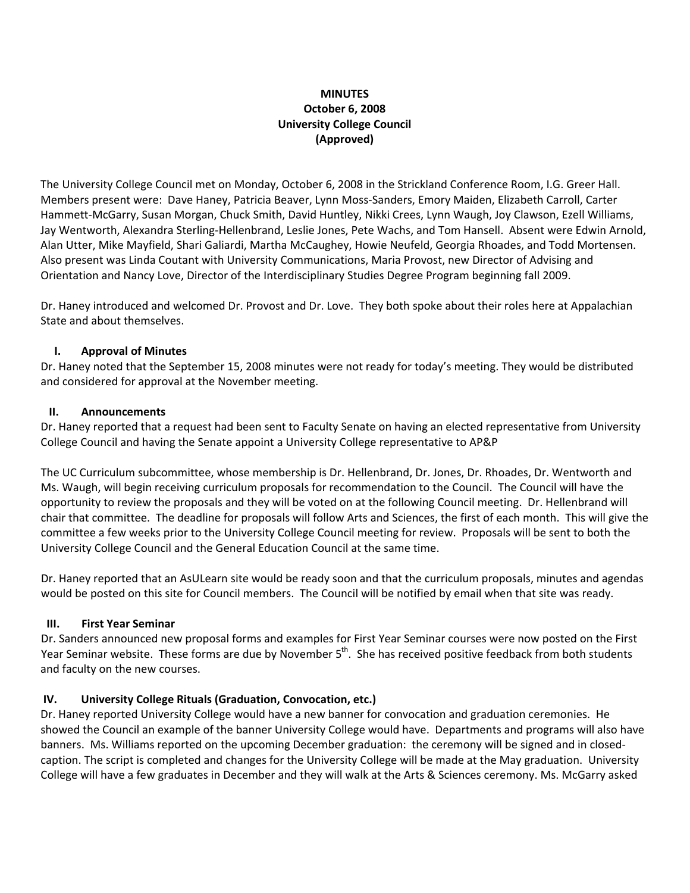# **MINUTES October 6, 2008 University College Council (Approved)**

The University College Council met on Monday, October 6, 2008 in the Strickland Conference Room, I.G. Greer Hall. Members present were: Dave Haney, Patricia Beaver, Lynn Moss‐Sanders, Emory Maiden, Elizabeth Carroll, Carter Hammett-McGarry, Susan Morgan, Chuck Smith, David Huntley, Nikki Crees, Lynn Waugh, Joy Clawson, Ezell Williams, Jay Wentworth, Alexandra Sterling-Hellenbrand, Leslie Jones, Pete Wachs, and Tom Hansell. Absent were Edwin Arnold, Alan Utter, Mike Mayfield, Shari Galiardi, Martha McCaughey, Howie Neufeld, Georgia Rhoades, and Todd Mortensen. Also present was Linda Coutant with University Communications, Maria Provost, new Director of Advising and Orientation and Nancy Love, Director of the Interdisciplinary Studies Degree Program beginning fall 2009.

Dr. Haney introduced and welcomed Dr. Provost and Dr. Love. They both spoke about their roles here at Appalachian State and about themselves.

### **I. Approval of Minutes**

Dr. Haney noted that the September 15, 2008 minutes were not ready for today's meeting. They would be distributed and considered for approval at the November meeting.

#### **II. Announcements**

Dr. Haney reported that a request had been sent to Faculty Senate on having an elected representative from University College Council and having the Senate appoint a University College representative to AP&P

The UC Curriculum subcommittee, whose membership is Dr. Hellenbrand, Dr. Jones, Dr. Rhoades, Dr. Wentworth and Ms. Waugh, will begin receiving curriculum proposals for recommendation to the Council. The Council will have the opportunity to review the proposals and they will be voted on at the following Council meeting. Dr. Hellenbrand will chair that committee. The deadline for proposals will follow Arts and Sciences, the first of each month. This will give the committee a few weeks prior to the University College Council meeting for review. Proposals will be sent to both the University College Council and the General Education Council at the same time.

Dr. Haney reported that an AsULearn site would be ready soon and that the curriculum proposals, minutes and agendas would be posted on this site for Council members. The Council will be notified by email when that site was ready.

#### **III. First Year Seminar**

Dr. Sanders announced new proposal forms and examples for First Year Seminar courses were now posted on the First Year Seminar website. These forms are due by November 5<sup>th</sup>. She has received positive feedback from both students and faculty on the new courses.

## **IV. University College Rituals (Graduation, Convocation, etc.)**

Dr. Haney reported University College would have a new banner for convocation and graduation ceremonies. He showed the Council an example of the banner University College would have. Departments and programs will also have banners. Ms. Williams reported on the upcoming December graduation: the ceremony will be signed and in closed‐ caption. The script is completed and changes for the University College will be made at the May graduation. University College will have a few graduates in December and they will walk at the Arts & Sciences ceremony. Ms. McGarry asked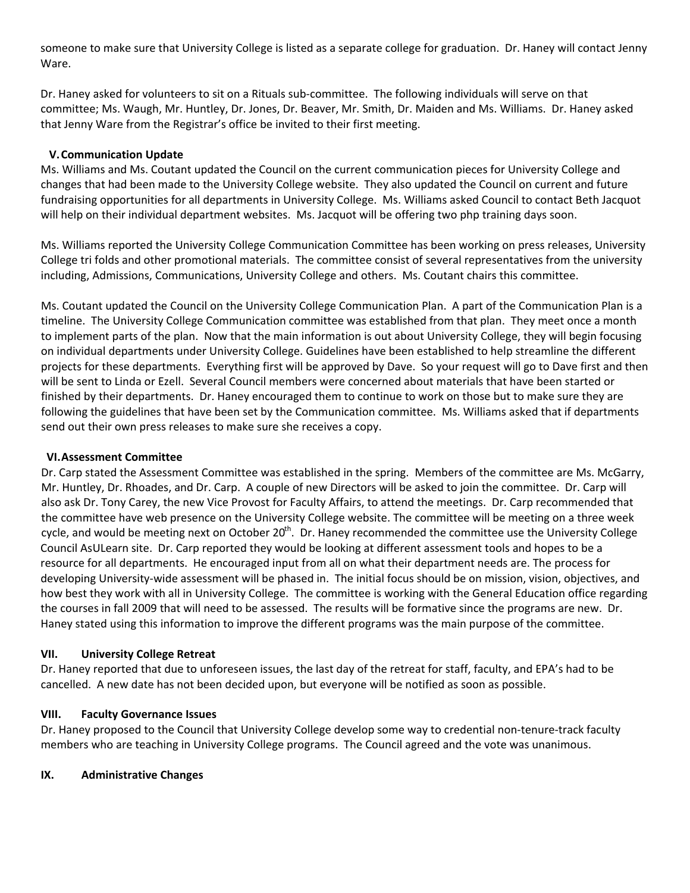someone to make sure that University College is listed as a separate college for graduation. Dr. Haney will contact Jenny Ware.

Dr. Haney asked for volunteers to sit on a Rituals sub‐committee. The following individuals will serve on that committee; Ms. Waugh, Mr. Huntley, Dr. Jones, Dr. Beaver, Mr. Smith, Dr. Maiden and Ms. Williams. Dr. Haney asked that Jenny Ware from the Registrar's office be invited to their first meeting.

#### **V.Communication Update**

Ms. Williams and Ms. Coutant updated the Council on the current communication pieces for University College and changes that had been made to the University College website. They also updated the Council on current and future fundraising opportunities for all departments in University College. Ms. Williams asked Council to contact Beth Jacquot will help on their individual department websites. Ms. Jacquot will be offering two php training days soon.

Ms. Williams reported the University College Communication Committee has been working on press releases, University College tri folds and other promotional materials. The committee consist of several representatives from the university including, Admissions, Communications, University College and others. Ms. Coutant chairs this committee.

Ms. Coutant updated the Council on the University College Communication Plan. A part of the Communication Plan is a timeline. The University College Communication committee was established from that plan. They meet once a month to implement parts of the plan. Now that the main information is out about University College, they will begin focusing on individual departments under University College. Guidelines have been established to help streamline the different projects for these departments. Everything first will be approved by Dave. So your request will go to Dave first and then will be sent to Linda or Ezell. Several Council members were concerned about materials that have been started or finished by their departments. Dr. Haney encouraged them to continue to work on those but to make sure they are following the guidelines that have been set by the Communication committee. Ms. Williams asked that if departments send out their own press releases to make sure she receives a copy.

#### **VI.Assessment Committee**

Dr. Carp stated the Assessment Committee was established in the spring. Members of the committee are Ms. McGarry, Mr. Huntley, Dr. Rhoades, and Dr. Carp. A couple of new Directors will be asked to join the committee. Dr. Carp will also ask Dr. Tony Carey, the new Vice Provost for Faculty Affairs, to attend the meetings. Dr. Carp recommended that the committee have web presence on the University College website. The committee will be meeting on a three week cycle, and would be meeting next on October 20<sup>th</sup>. Dr. Haney recommended the committee use the University College Council AsULearn site. Dr. Carp reported they would be looking at different assessment tools and hopes to be a resource for all departments. He encouraged input from all on what their department needs are. The process for developing University‐wide assessment will be phased in. The initial focus should be on mission, vision, objectives, and how best they work with all in University College. The committee is working with the General Education office regarding the courses in fall 2009 that will need to be assessed. The results will be formative since the programs are new. Dr. Haney stated using this information to improve the different programs was the main purpose of the committee.

#### **VII. University College Retreat**

Dr. Haney reported that due to unforeseen issues, the last day of the retreat for staff, faculty, and EPA's had to be cancelled. A new date has not been decided upon, but everyone will be notified as soon as possible.

## **VIII. Faculty Governance Issues**

Dr. Haney proposed to the Council that University College develop some way to credential non‐tenure‐track faculty members who are teaching in University College programs. The Council agreed and the vote was unanimous.

## **IX. Administrative Changes**